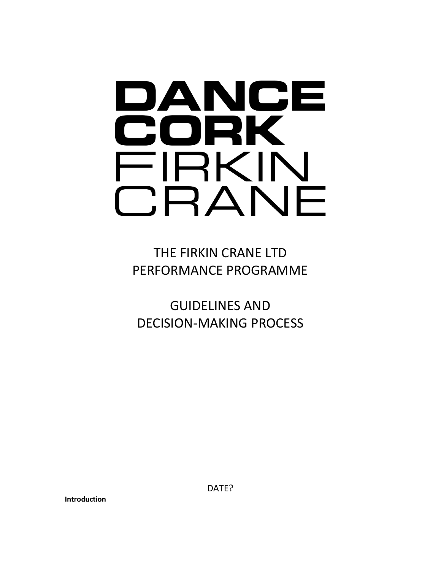# DANCE CORK FIRKIN CRANE

THE FIRKIN CRANE LTD PERFORMANCE PROGRAMME

GUIDELINES AND DECISION-MAKING PROCESS

**Introduction**

DATE?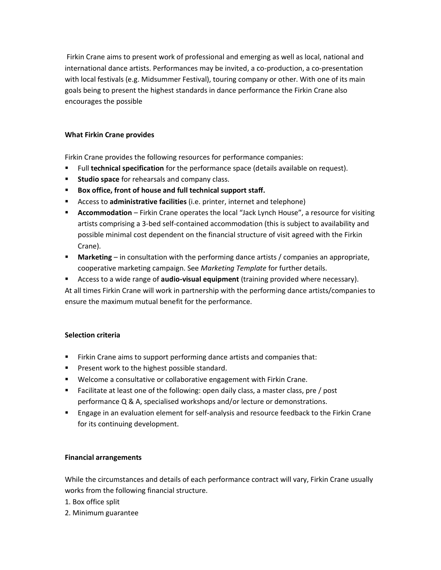Firkin Crane aims to present work of professional and emerging as well as local, national and international dance artists. Performances may be invited, a co-production, a co-presentation with local festivals (e.g. Midsummer Festival), touring company or other. With one of its main goals being to present the highest standards in dance performance the Firkin Crane also encourages the possible

## **What Firkin Crane provides**

Firkin Crane provides the following resources for performance companies:

- Full **technical specification** for the performance space (details available on request).
- **Studio space** for rehearsals and company class.
- **Box office, front of house and full technical support staff.**
- Access to **administrative facilities** (i.e. printer, internet and telephone)
- **Accommodation** Firkin Crane operates the local "Jack Lynch House", a resource for visiting artists comprising a 3-bed self-contained accommodation (this is subject to availability and possible minimal cost dependent on the financial structure of visit agreed with the Firkin Crane).
- **■** Marketing in consultation with the performing dance artists / companies an appropriate, cooperative marketing campaign. See *Marketing Template* for further details.
- Access to a wide range of **audio-visual equipment** (training provided where necessary). At all times Firkin Crane will work in partnership with the performing dance artists/companies to ensure the maximum mutual benefit for the performance.

## **Selection criteria**

- **EXALLE FIRE A** Firkin Crane aims to support performing dance artists and companies that:
- Present work to the highest possible standard.
- Welcome a consultative or collaborative engagement with Firkin Crane.
- Facilitate at least one of the following: open daily class, a master class, pre / post performance Q & A, specialised workshops and/or lecture or demonstrations.
- **E** Engage in an evaluation element for self-analysis and resource feedback to the Firkin Crane for its continuing development.

## **Financial arrangements**

While the circumstances and details of each performance contract will vary, Firkin Crane usually works from the following financial structure.

- 1. Box office split
- 2. Minimum guarantee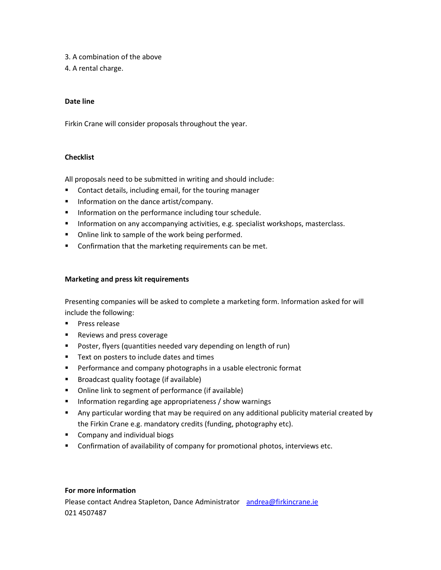- 3. A combination of the above
- 4. A rental charge.

## **Date line**

Firkin Crane will consider proposals throughout the year.

#### **Checklist**

All proposals need to be submitted in writing and should include:

- Contact details, including email, for the touring manager
- Information on the dance artist/company.
- **■** Information on the performance including tour schedule.
- **EXEDENTIFY Information on any accompanying activities, e.g. specialist workshops, masterclass.**
- Online link to sample of the work being performed.
- Confirmation that the marketing requirements can be met.

#### **Marketing and press kit requirements**

Presenting companies will be asked to complete a marketing form. Information asked for will include the following:

- Press release
- Reviews and press coverage
- Poster, flyers (quantities needed vary depending on length of run)
- Text on posters to include dates and times
- **•** Performance and company photographs in a usable electronic format
- Broadcast quality footage (if available)
- Online link to segment of performance (if available)
- Information regarding age appropriateness / show warnings
- Any particular wording that may be required on any additional publicity material created by the Firkin Crane e.g. mandatory credits (funding, photography etc).
- Company and individual biogs
- Confirmation of availability of company for promotional photos, interviews etc.

# **For more information**

Please contact Andrea Stapleton, Dance Administrator [andrea@firkincrane.ie](mailto:andrea@firkincrane.ie) 021 4507487